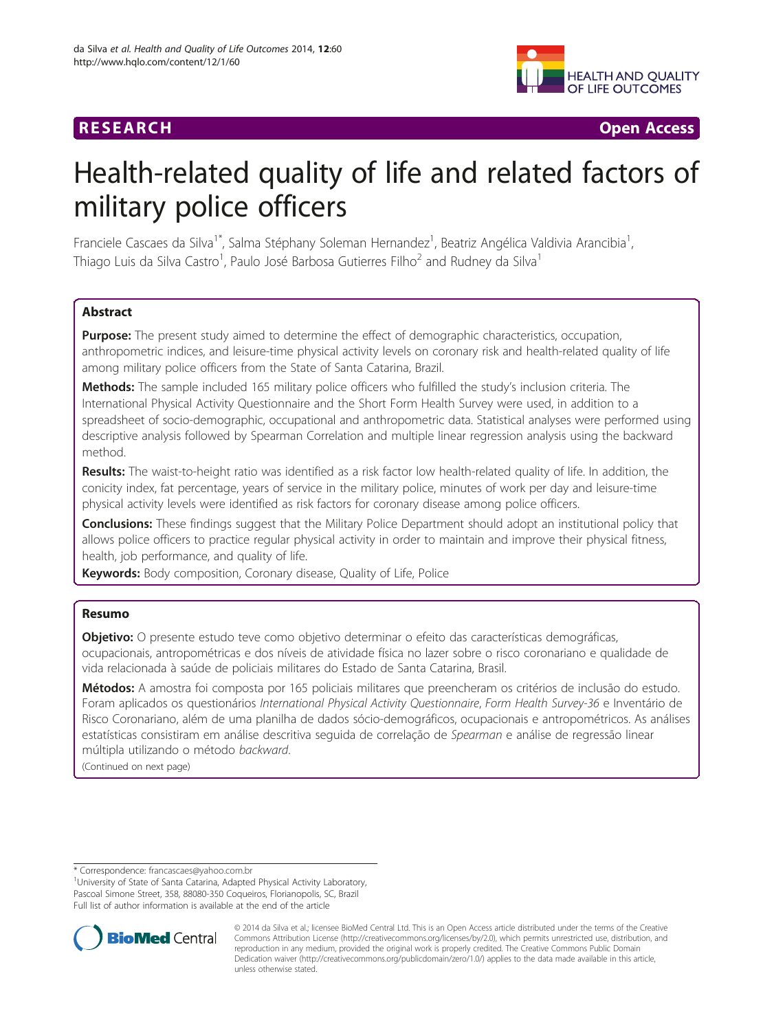# R E S EAR CH Open Access



# Health-related quality of life and related factors of military police officers

Franciele Cascaes da Silva<sup>1\*</sup>, Salma Stéphany Soleman Hernandez<sup>1</sup>, Beatriz Angélica Valdivia Arancibia<sup>1</sup> , Thiago Luis da Silva Castro<sup>1</sup>, Paulo José Barbosa Gutierres Filho<sup>2</sup> and Rudney da Silva<sup>1</sup>

# **Abstract**

Purpose: The present study aimed to determine the effect of demographic characteristics, occupation, anthropometric indices, and leisure-time physical activity levels on coronary risk and health-related quality of life among military police officers from the State of Santa Catarina, Brazil.

Methods: The sample included 165 military police officers who fulfilled the study's inclusion criteria. The International Physical Activity Questionnaire and the Short Form Health Survey were used, in addition to a spreadsheet of socio-demographic, occupational and anthropometric data. Statistical analyses were performed using descriptive analysis followed by Spearman Correlation and multiple linear regression analysis using the backward method.

Results: The waist-to-height ratio was identified as a risk factor low health-related quality of life. In addition, the conicity index, fat percentage, years of service in the military police, minutes of work per day and leisure-time physical activity levels were identified as risk factors for coronary disease among police officers.

**Conclusions:** These findings suggest that the Military Police Department should adopt an institutional policy that allows police officers to practice regular physical activity in order to maintain and improve their physical fitness, health, job performance, and quality of life.

Keywords: Body composition, Coronary disease, Quality of Life, Police

# Resumo

Objetivo: O presente estudo teve como objetivo determinar o efeito das características demográficas, ocupacionais, antropométricas e dos níveis de atividade física no lazer sobre o risco coronariano e qualidade de vida relacionada à saúde de policiais militares do Estado de Santa Catarina, Brasil.

Métodos: A amostra foi composta por 165 policiais militares que preencheram os critérios de inclusão do estudo. Foram aplicados os questionários International Physical Activity Questionnaire, Form Health Survey-36 e Inventário de Risco Coronariano, além de uma planilha de dados sócio-demográficos, ocupacionais e antropométricos. As análises estatísticas consistiram em análise descritiva seguida de correlação de Spearman e análise de regressão linear múltipla utilizando o método backward.

(Continued on next page)

\* Correspondence: [francascaes@yahoo.com.br](mailto:francascaes@yahoo.com.br) <sup>1</sup>

<sup>1</sup>University of State of Santa Catarina, Adapted Physical Activity Laboratory, Pascoal Simone Street, 358, 88080-350 Coqueiros, Florianopolis, SC, Brazil Full list of author information is available at the end of the article



© 2014 da Silva et al.; licensee BioMed Central Ltd. This is an Open Access article distributed under the terms of the Creative Commons Attribution License [\(http://creativecommons.org/licenses/by/2.0\)](http://creativecommons.org/licenses/by/2.0), which permits unrestricted use, distribution, and reproduction in any medium, provided the original work is properly credited. The Creative Commons Public Domain Dedication waiver [\(http://creativecommons.org/publicdomain/zero/1.0/](http://creativecommons.org/publicdomain/zero/1.0/)) applies to the data made available in this article, unless otherwise stated.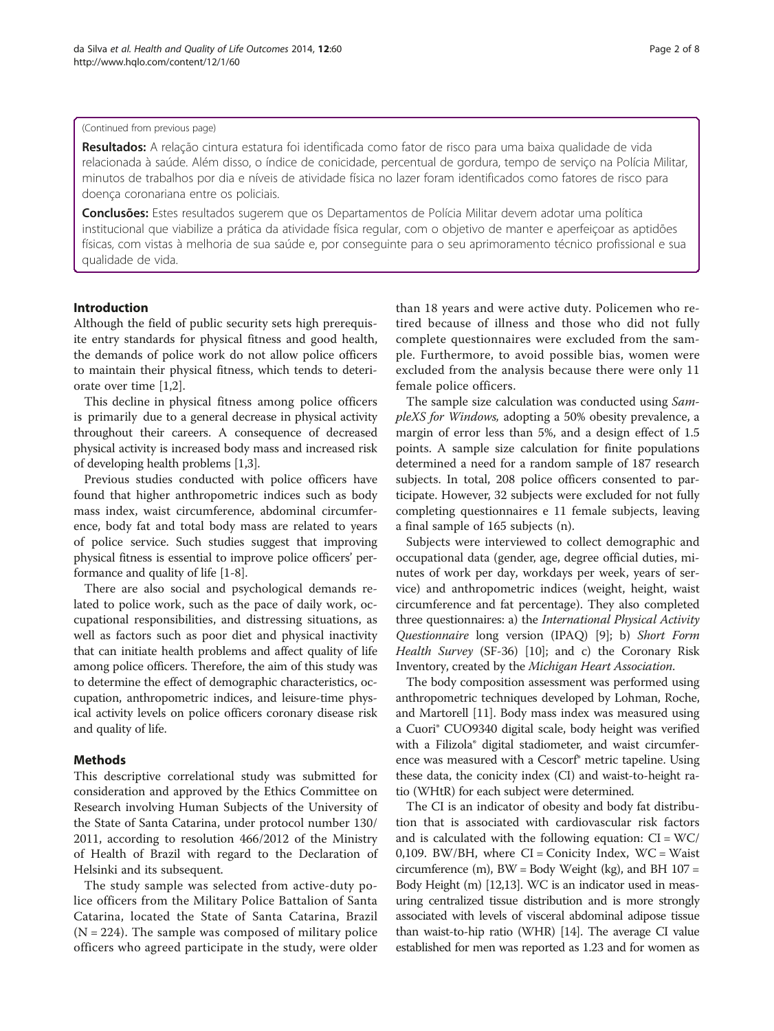## (Continued from previous page)

Resultados: A relação cintura estatura foi identificada como fator de risco para uma baixa qualidade de vida relacionada à saúde. Além disso, o índice de conicidade, percentual de gordura, tempo de serviço na Polícia Militar, minutos de trabalhos por dia e níveis de atividade física no lazer foram identificados como fatores de risco para doença coronariana entre os policiais.

Conclusões: Estes resultados sugerem que os Departamentos de Polícia Militar devem adotar uma política institucional que viabilize a prática da atividade física regular, com o objetivo de manter e aperfeiçoar as aptidões físicas, com vistas à melhoria de sua saúde e, por conseguinte para o seu aprimoramento técnico profissional e sua qualidade de vida.

# Introduction

Although the field of public security sets high prerequisite entry standards for physical fitness and good health, the demands of police work do not allow police officers to maintain their physical fitness, which tends to deteriorate over time [\[1,2](#page-7-0)].

This decline in physical fitness among police officers is primarily due to a general decrease in physical activity throughout their careers. A consequence of decreased physical activity is increased body mass and increased risk of developing health problems [\[1,3](#page-7-0)].

Previous studies conducted with police officers have found that higher anthropometric indices such as body mass index, waist circumference, abdominal circumference, body fat and total body mass are related to years of police service. Such studies suggest that improving physical fitness is essential to improve police officers' performance and quality of life [\[1](#page-7-0)-[8](#page-7-0)].

There are also social and psychological demands related to police work, such as the pace of daily work, occupational responsibilities, and distressing situations, as well as factors such as poor diet and physical inactivity that can initiate health problems and affect quality of life among police officers. Therefore, the aim of this study was to determine the effect of demographic characteristics, occupation, anthropometric indices, and leisure-time physical activity levels on police officers coronary disease risk and quality of life.

# Methods

This descriptive correlational study was submitted for consideration and approved by the Ethics Committee on Research involving Human Subjects of the University of the State of Santa Catarina, under protocol number 130/ 2011, according to resolution 466/2012 of the Ministry of Health of Brazil with regard to the Declaration of Helsinki and its subsequent.

The study sample was selected from active-duty police officers from the Military Police Battalion of Santa Catarina, located the State of Santa Catarina, Brazil  $(N = 224)$ . The sample was composed of military police officers who agreed participate in the study, were older

than 18 years and were active duty. Policemen who retired because of illness and those who did not fully complete questionnaires were excluded from the sample. Furthermore, to avoid possible bias, women were excluded from the analysis because there were only 11 female police officers.

The sample size calculation was conducted using SampleXS for Windows, adopting a 50% obesity prevalence, a margin of error less than 5%, and a design effect of 1.5 points. A sample size calculation for finite populations determined a need for a random sample of 187 research subjects. In total, 208 police officers consented to participate. However, 32 subjects were excluded for not fully completing questionnaires e 11 female subjects, leaving a final sample of 165 subjects (n).

Subjects were interviewed to collect demographic and occupational data (gender, age, degree official duties, minutes of work per day, workdays per week, years of service) and anthropometric indices (weight, height, waist circumference and fat percentage). They also completed three questionnaires: a) the International Physical Activity Questionnaire long version (IPAQ) [\[9](#page-7-0)]; b) Short Form Health Survey (SF-36) [\[10\]](#page-7-0); and c) the Coronary Risk Inventory, created by the Michigan Heart Association.

The body composition assessment was performed using anthropometric techniques developed by Lohman, Roche, and Martorell [\[11\]](#page-7-0). Body mass index was measured using a Cuori® CUO9340 digital scale, body height was verified with a Filizola<sup>®</sup> digital stadiometer, and waist circumference was measured with a Cescorf® metric tapeline. Using these data, the conicity index (CI) and waist-to-height ratio (WHtR) for each subject were determined.

The CI is an indicator of obesity and body fat distribution that is associated with cardiovascular risk factors and is calculated with the following equation:  $CI = WC/$ 0,109. BW/BH, where  $CI =$  Conicity Index, WC = Waist circumference (m),  $BW = Body Weight (kg)$ , and BH 107 = Body Height (m) [[12,13\]](#page-7-0). WC is an indicator used in measuring centralized tissue distribution and is more strongly associated with levels of visceral abdominal adipose tissue than waist-to-hip ratio (WHR) [\[14\]](#page-7-0). The average CI value established for men was reported as 1.23 and for women as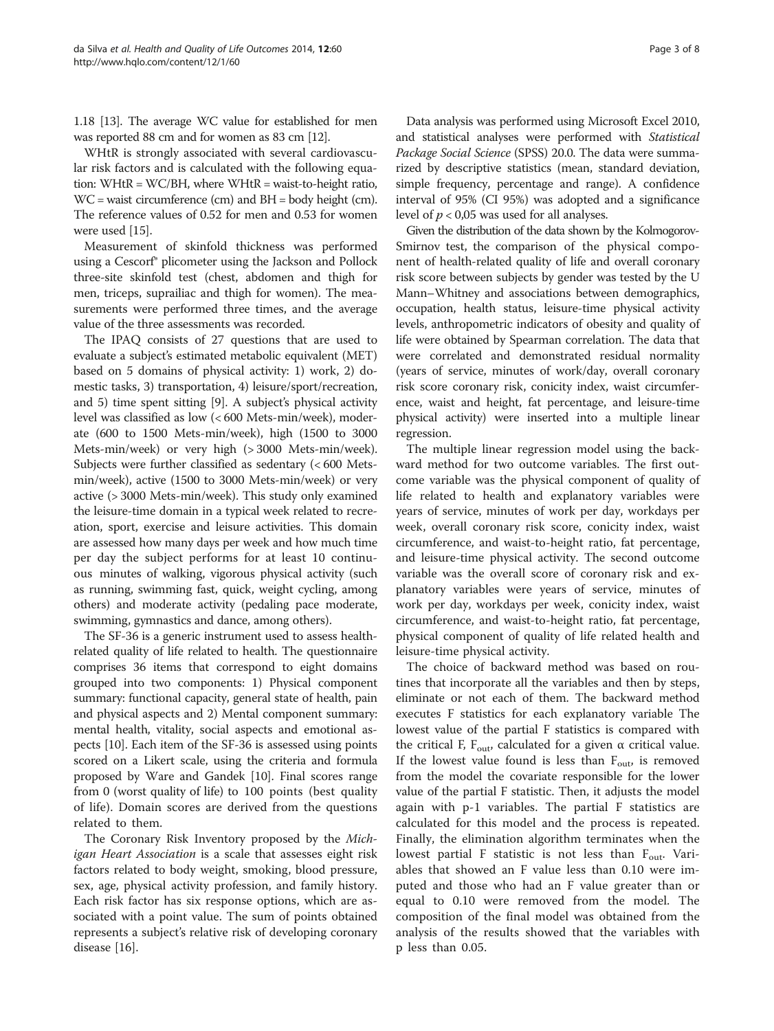1.18 [\[13](#page-7-0)]. The average WC value for established for men was reported 88 cm and for women as 83 cm [[12](#page-7-0)].

WHtR is strongly associated with several cardiovascular risk factors and is calculated with the following equation: WHtR = WC/BH, where WHtR = waist-to-height ratio, WC = waist circumference (cm) and BH = body height (cm). The reference values of 0.52 for men and 0.53 for women were used [\[15](#page-7-0)].

Measurement of skinfold thickness was performed using a Cescorf® plicometer using the Jackson and Pollock three-site skinfold test (chest, abdomen and thigh for men, triceps, suprailiac and thigh for women). The measurements were performed three times, and the average value of the three assessments was recorded.

The IPAQ consists of 27 questions that are used to evaluate a subject's estimated metabolic equivalent (MET) based on 5 domains of physical activity: 1) work, 2) domestic tasks, 3) transportation, 4) leisure/sport/recreation, and 5) time spent sitting [\[9](#page-7-0)]. A subject's physical activity level was classified as low (< 600 Mets-min/week), moderate (600 to 1500 Mets-min/week), high (1500 to 3000 Mets-min/week) or very high (> 3000 Mets-min/week). Subjects were further classified as sedentary (< 600 Metsmin/week), active (1500 to 3000 Mets-min/week) or very active (> 3000 Mets-min/week). This study only examined the leisure-time domain in a typical week related to recreation, sport, exercise and leisure activities. This domain are assessed how many days per week and how much time per day the subject performs for at least 10 continuous minutes of walking, vigorous physical activity (such as running, swimming fast, quick, weight cycling, among others) and moderate activity (pedaling pace moderate, swimming, gymnastics and dance, among others).

The SF-36 is a generic instrument used to assess healthrelated quality of life related to health. The questionnaire comprises 36 items that correspond to eight domains grouped into two components: 1) Physical component summary: functional capacity, general state of health, pain and physical aspects and 2) Mental component summary: mental health, vitality, social aspects and emotional aspects [\[10](#page-7-0)]. Each item of the SF-36 is assessed using points scored on a Likert scale, using the criteria and formula proposed by Ware and Gandek [\[10\]](#page-7-0). Final scores range from 0 (worst quality of life) to 100 points (best quality of life). Domain scores are derived from the questions related to them.

The Coronary Risk Inventory proposed by the Michigan Heart Association is a scale that assesses eight risk factors related to body weight, smoking, blood pressure, sex, age, physical activity profession, and family history. Each risk factor has six response options, which are associated with a point value. The sum of points obtained represents a subject's relative risk of developing coronary disease [\[16](#page-7-0)].

Data analysis was performed using Microsoft Excel 2010, and statistical analyses were performed with Statistical Package Social Science (SPSS) 20.0. The data were summarized by descriptive statistics (mean, standard deviation, simple frequency, percentage and range). A confidence interval of 95% (CI 95%) was adopted and a significance level of  $p < 0.05$  was used for all analyses.

Given the distribution of the data shown by the Kolmogorov-Smirnov test, the comparison of the physical component of health-related quality of life and overall coronary risk score between subjects by gender was tested by the U Mann–Whitney and associations between demographics, occupation, health status, leisure-time physical activity levels, anthropometric indicators of obesity and quality of life were obtained by Spearman correlation. The data that were correlated and demonstrated residual normality (years of service, minutes of work/day, overall coronary risk score coronary risk, conicity index, waist circumference, waist and height, fat percentage, and leisure-time physical activity) were inserted into a multiple linear regression.

The multiple linear regression model using the backward method for two outcome variables. The first outcome variable was the physical component of quality of life related to health and explanatory variables were years of service, minutes of work per day, workdays per week, overall coronary risk score, conicity index, waist circumference, and waist-to-height ratio, fat percentage, and leisure-time physical activity. The second outcome variable was the overall score of coronary risk and explanatory variables were years of service, minutes of work per day, workdays per week, conicity index, waist circumference, and waist-to-height ratio, fat percentage, physical component of quality of life related health and leisure-time physical activity.

The choice of backward method was based on routines that incorporate all the variables and then by steps, eliminate or not each of them. The backward method executes F statistics for each explanatory variable The lowest value of the partial F statistics is compared with the critical F,  $F_{out}$ , calculated for a given α critical value. If the lowest value found is less than  $F_{\text{out}}$ , is removed from the model the covariate responsible for the lower value of the partial F statistic. Then, it adjusts the model again with p-1 variables. The partial F statistics are calculated for this model and the process is repeated. Finally, the elimination algorithm terminates when the lowest partial F statistic is not less than  $F_{\text{out}}$ . Variables that showed an F value less than 0.10 were imputed and those who had an F value greater than or equal to 0.10 were removed from the model. The composition of the final model was obtained from the analysis of the results showed that the variables with p less than 0.05.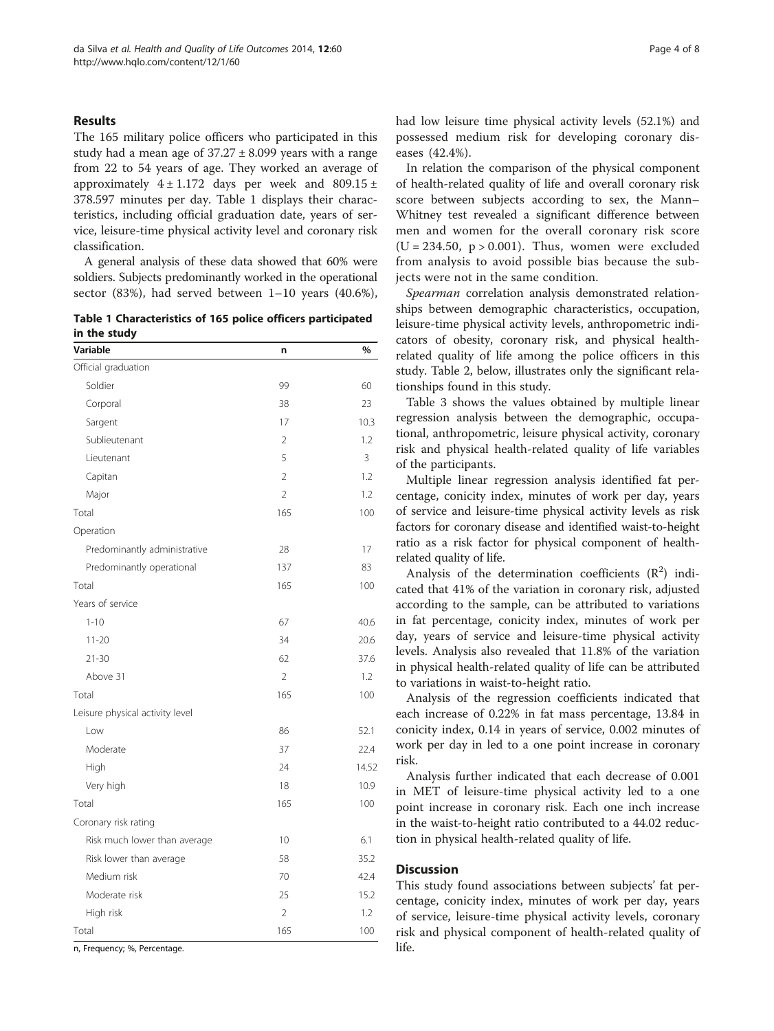# Results

The 165 military police officers who participated in this study had a mean age of  $37.27 \pm 8.099$  years with a range from 22 to 54 years of age. They worked an average of approximately  $4 \pm 1.172$  days per week and  $809.15 \pm$ 378.597 minutes per day. Table 1 displays their characteristics, including official graduation date, years of service, leisure-time physical activity level and coronary risk classification.

A general analysis of these data showed that 60% were soldiers. Subjects predominantly worked in the operational sector (83%), had served between 1–10 years (40.6%),

Table 1 Characteristics of 165 police officers participated in the study

| Variable                        | n              | %     |
|---------------------------------|----------------|-------|
| Official graduation             |                |       |
| Soldier                         | 99             | 60    |
| Corporal                        | 38             | 23    |
| Sargent                         | 17             | 10.3  |
| Sublieutenant                   | $\overline{2}$ | 1.2   |
| Lieutenant                      | 5              | 3     |
| Capitan                         | $\overline{2}$ | 1.2   |
| Major                           | $\mathfrak{D}$ | 1.2   |
| Total                           | 165            | 100   |
| Operation                       |                |       |
| Predominantly administrative    | 28             | 17    |
| Predominantly operational       | 137            | 83    |
| Total                           | 165            | 100   |
| Years of service                |                |       |
| $1 - 10$                        | 67             | 40.6  |
| $11 - 20$                       | 34             | 20.6  |
| $21 - 30$                       | 62             | 37.6  |
| Above 31                        | $\overline{2}$ | 1.2   |
| Total                           | 165            | 100   |
| Leisure physical activity level |                |       |
| Low                             | 86             | 52.1  |
| Moderate                        | 37             | 22.4  |
| High                            | 24             | 14.52 |
| Very high                       | 18             | 10.9  |
| Total                           | 165            | 100   |
| Coronary risk rating            |                |       |
| Risk much lower than average    | 10             | 6.1   |
| Risk lower than average         | 58             | 35.2  |
| Medium risk                     | 70             | 42.4  |
| Moderate risk                   | 25             | 15.2  |
| High risk                       | 2              | 1.2   |
| Total                           | 165            | 100   |

n, Frequency; %, Percentage.

had low leisure time physical activity levels (52.1%) and possessed medium risk for developing coronary diseases (42.4%).

In relation the comparison of the physical component of health-related quality of life and overall coronary risk score between subjects according to sex, the Mann– Whitney test revealed a significant difference between men and women for the overall coronary risk score  $(U = 234.50, p > 0.001)$ . Thus, women were excluded from analysis to avoid possible bias because the subjects were not in the same condition.

Spearman correlation analysis demonstrated relationships between demographic characteristics, occupation, leisure-time physical activity levels, anthropometric indicators of obesity, coronary risk, and physical healthrelated quality of life among the police officers in this study. Table [2,](#page-4-0) below, illustrates only the significant relationships found in this study.

Table [3](#page-5-0) shows the values obtained by multiple linear regression analysis between the demographic, occupational, anthropometric, leisure physical activity, coronary risk and physical health-related quality of life variables of the participants.

Multiple linear regression analysis identified fat percentage, conicity index, minutes of work per day, years of service and leisure-time physical activity levels as risk factors for coronary disease and identified waist-to-height ratio as a risk factor for physical component of healthrelated quality of life.

Analysis of the determination coefficients  $(R^2)$  indicated that 41% of the variation in coronary risk, adjusted according to the sample, can be attributed to variations in fat percentage, conicity index, minutes of work per day, years of service and leisure-time physical activity levels. Analysis also revealed that 11.8% of the variation in physical health-related quality of life can be attributed to variations in waist-to-height ratio.

Analysis of the regression coefficients indicated that each increase of 0.22% in fat mass percentage, 13.84 in conicity index, 0.14 in years of service, 0.002 minutes of work per day in led to a one point increase in coronary risk.

Analysis further indicated that each decrease of 0.001 in MET of leisure-time physical activity led to a one point increase in coronary risk. Each one inch increase in the waist-to-height ratio contributed to a 44.02 reduction in physical health-related quality of life.

## **Discussion**

This study found associations between subjects' fat percentage, conicity index, minutes of work per day, years of service, leisure-time physical activity levels, coronary risk and physical component of health-related quality of life.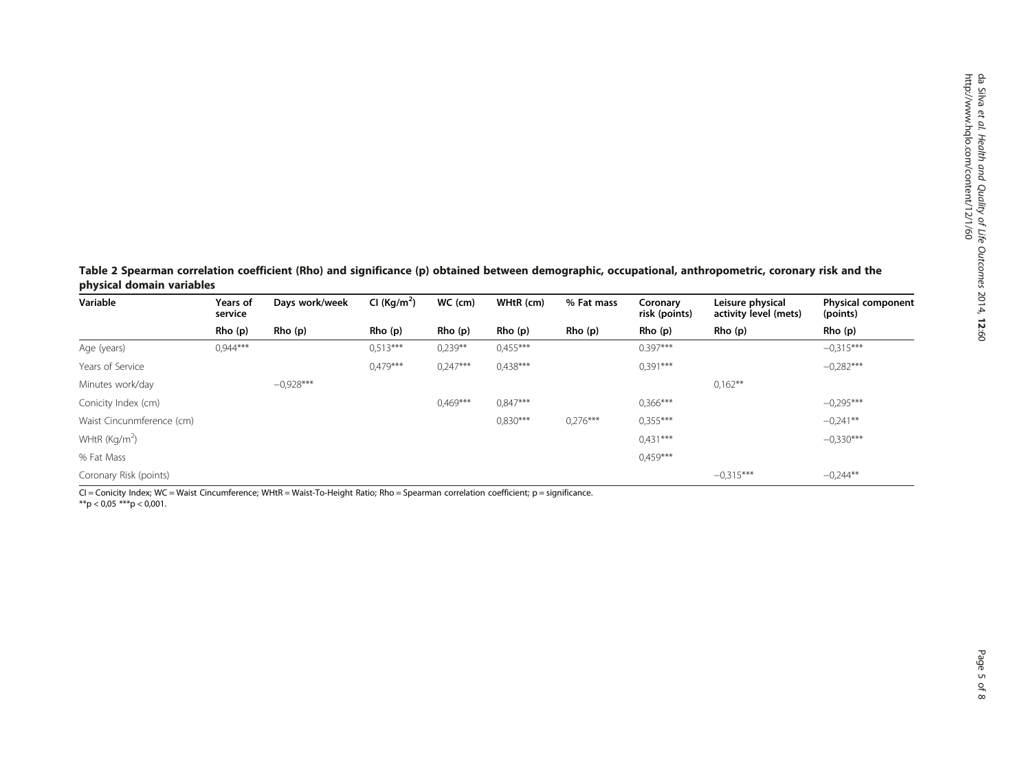<span id="page-4-0"></span>Table 2 Spearman correlation coefficient (Rho) and significance (p) obtained between demographic, occupational, anthropometric, coronary risk and the physical domain variables

| Variable                  | Years of<br>service | Days work/week | CI (Kg/m <sup>2</sup> ) | WC (cm)    | WHtR (cm)  | % Fat mass | Coronary<br>risk (points) | Leisure physical<br>activity level (mets) | <b>Physical component</b><br>(points) |
|---------------------------|---------------------|----------------|-------------------------|------------|------------|------------|---------------------------|-------------------------------------------|---------------------------------------|
|                           | Rho (p)             | Rho(p)         | Rho(p)                  | Rho (p)    | Rho(p)     | Rho(p)     | Rho(p)                    | Rho(p)                                    | Rho(p)                                |
| Age (years)               | $0.944***$          |                | $0.513***$              | $0.239**$  | $0.455***$ |            | $0.397***$                |                                           | $-0.315***$                           |
| Years of Service          |                     |                | $0.479***$              | $0.247***$ | $0,438***$ |            | $0.391***$                |                                           | $-0.282***$                           |
| Minutes work/day          |                     | $-0.928***$    |                         |            |            |            |                           | $0.162**$                                 |                                       |
| Conicity Index (cm)       |                     |                |                         | $0.469***$ | $0.847***$ |            | $0,366***$                |                                           | $-0.295***$                           |
| Waist Cincunmference (cm) |                     |                |                         |            | $0.830***$ | $0,276***$ | $0,355***$                |                                           | $-0.241**$                            |
| WHtR $(Kq/m^2)$           |                     |                |                         |            |            |            | $0.431***$                |                                           | $-0,330***$                           |
| % Fat Mass                |                     |                |                         |            |            |            | $0,459***$                |                                           |                                       |
| Coronary Risk (points)    |                     |                |                         |            |            |            |                           | $-0.315***$                               | $-0.244**$                            |

CI = Conicity Index; WC = Waist Cincumference; WHtR = Waist-To-Height Ratio; Rho = Spearman correlation coefficient; p = significance.

\*\*p < 0,05 \*\*\*p < 0,001.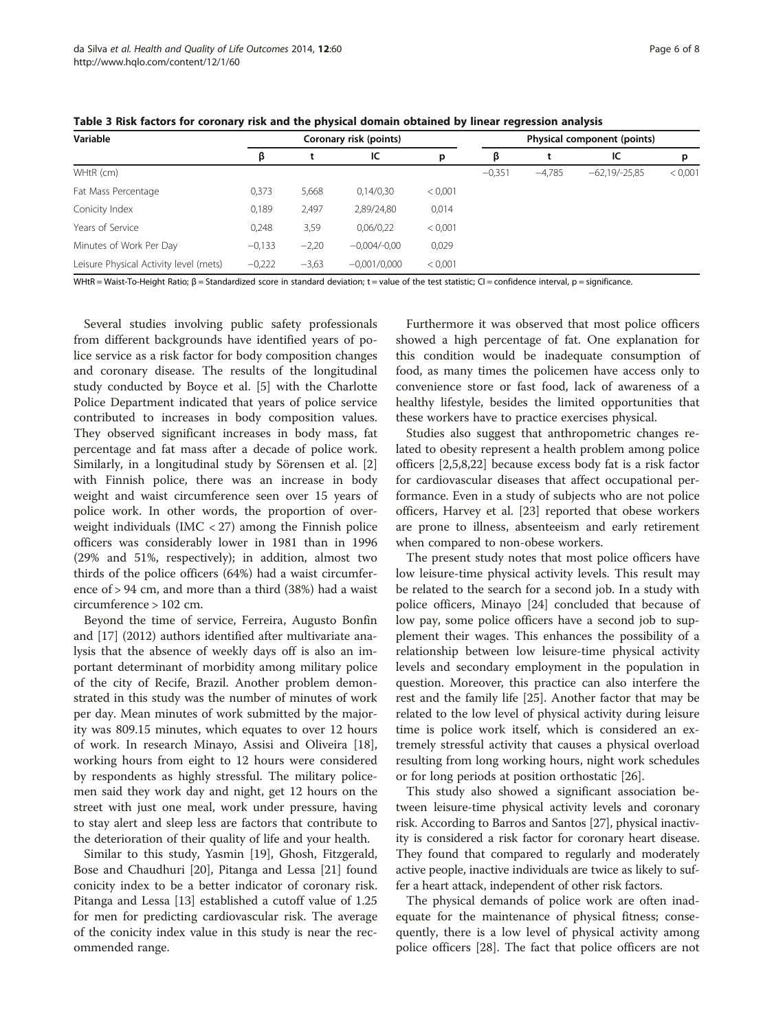<span id="page-5-0"></span>

| Table 3 Risk factors for coronary risk and the physical domain obtained by linear regression analysis |  |  |  |
|-------------------------------------------------------------------------------------------------------|--|--|--|
|-------------------------------------------------------------------------------------------------------|--|--|--|

| Variable                               | Coronary risk (points) |         |                |         | Physical component (points) |          |                 |         |
|----------------------------------------|------------------------|---------|----------------|---------|-----------------------------|----------|-----------------|---------|
|                                        | β                      |         | IC             | p       | β                           |          | IC              | р       |
| WHtR (cm)                              |                        |         |                |         | $-0,351$                    | $-4,785$ | $-62,19/-25,85$ | < 0.001 |
| Fat Mass Percentage                    | 0,373                  | 5,668   | 0,14/0,30      | < 0.001 |                             |          |                 |         |
| Conicity Index                         | 0,189                  | 2,497   | 2,89/24,80     | 0,014   |                             |          |                 |         |
| Years of Service                       | 0.248                  | 3,59    | 0,06/0,22      | < 0.001 |                             |          |                 |         |
| Minutes of Work Per Day                | $-0,133$               | $-2,20$ | $-0.004/-0.00$ | 0,029   |                             |          |                 |         |
| Leisure Physical Activity level (mets) | $-0,222$               | $-3,63$ | $-0,001/0,000$ | < 0.001 |                             |          |                 |         |

WHtR = Waist-To-Height Ratio;  $\beta$  = Standardized score in standard deviation; t = value of the test statistic; CI = confidence interval, p = significance.

Several studies involving public safety professionals from different backgrounds have identified years of police service as a risk factor for body composition changes and coronary disease. The results of the longitudinal study conducted by Boyce et al. [\[5](#page-7-0)] with the Charlotte Police Department indicated that years of police service contributed to increases in body composition values. They observed significant increases in body mass, fat percentage and fat mass after a decade of police work. Similarly, in a longitudinal study by Sörensen et al. [\[2](#page-7-0)] with Finnish police, there was an increase in body weight and waist circumference seen over 15 years of police work. In other words, the proportion of overweight individuals (IMC < 27) among the Finnish police officers was considerably lower in 1981 than in 1996 (29% and 51%, respectively); in addition, almost two thirds of the police officers (64%) had a waist circumference of > 94 cm, and more than a third (38%) had a waist circumference > 102 cm.

Beyond the time of service, Ferreira, Augusto Bonfin and [\[17\]](#page-7-0) (2012) authors identified after multivariate analysis that the absence of weekly days off is also an important determinant of morbidity among military police of the city of Recife, Brazil. Another problem demonstrated in this study was the number of minutes of work per day. Mean minutes of work submitted by the majority was 809.15 minutes, which equates to over 12 hours of work. In research Minayo, Assisi and Oliveira [\[18](#page-7-0)], working hours from eight to 12 hours were considered by respondents as highly stressful. The military policemen said they work day and night, get 12 hours on the street with just one meal, work under pressure, having to stay alert and sleep less are factors that contribute to the deterioration of their quality of life and your health.

Similar to this study, Yasmin [\[19](#page-7-0)], Ghosh, Fitzgerald, Bose and Chaudhuri [\[20](#page-7-0)], Pitanga and Lessa [[21\]](#page-7-0) found conicity index to be a better indicator of coronary risk. Pitanga and Lessa [\[13](#page-7-0)] established a cutoff value of 1.25 for men for predicting cardiovascular risk. The average of the conicity index value in this study is near the recommended range.

Furthermore it was observed that most police officers showed a high percentage of fat. One explanation for this condition would be inadequate consumption of food, as many times the policemen have access only to convenience store or fast food, lack of awareness of a healthy lifestyle, besides the limited opportunities that these workers have to practice exercises physical.

Studies also suggest that anthropometric changes related to obesity represent a health problem among police officers [[2,5,8,22\]](#page-7-0) because excess body fat is a risk factor for cardiovascular diseases that affect occupational performance. Even in a study of subjects who are not police officers, Harvey et al. [[23](#page-7-0)] reported that obese workers are prone to illness, absenteeism and early retirement when compared to non-obese workers.

The present study notes that most police officers have low leisure-time physical activity levels. This result may be related to the search for a second job. In a study with police officers, Minayo [\[24\]](#page-7-0) concluded that because of low pay, some police officers have a second job to supplement their wages. This enhances the possibility of a relationship between low leisure-time physical activity levels and secondary employment in the population in question. Moreover, this practice can also interfere the rest and the family life [[25\]](#page-7-0). Another factor that may be related to the low level of physical activity during leisure time is police work itself, which is considered an extremely stressful activity that causes a physical overload resulting from long working hours, night work schedules or for long periods at position orthostatic [\[26\]](#page-7-0).

This study also showed a significant association between leisure-time physical activity levels and coronary risk. According to Barros and Santos [[27](#page-7-0)], physical inactivity is considered a risk factor for coronary heart disease. They found that compared to regularly and moderately active people, inactive individuals are twice as likely to suffer a heart attack, independent of other risk factors.

The physical demands of police work are often inadequate for the maintenance of physical fitness; consequently, there is a low level of physical activity among police officers [\[28](#page-7-0)]. The fact that police officers are not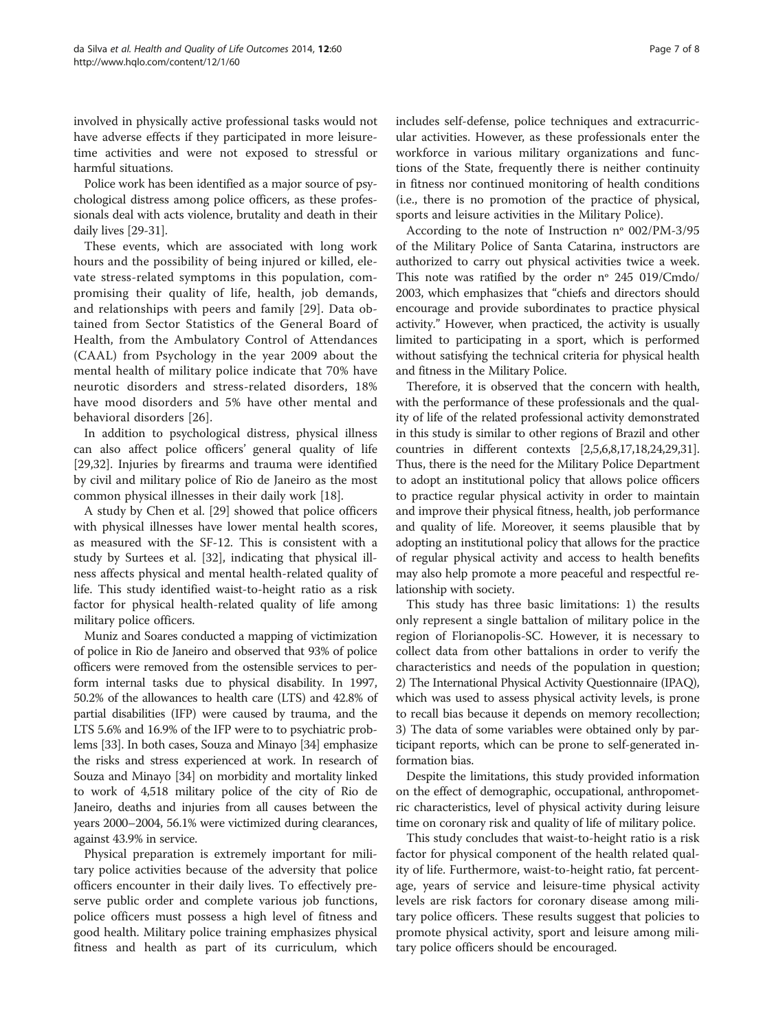involved in physically active professional tasks would not have adverse effects if they participated in more leisuretime activities and were not exposed to stressful or harmful situations.

Police work has been identified as a major source of psychological distress among police officers, as these professionals deal with acts violence, brutality and death in their daily lives [\[29-31\]](#page-7-0).

These events, which are associated with long work hours and the possibility of being injured or killed, elevate stress-related symptoms in this population, compromising their quality of life, health, job demands, and relationships with peers and family [[29\]](#page-7-0). Data obtained from Sector Statistics of the General Board of Health, from the Ambulatory Control of Attendances (CAAL) from Psychology in the year 2009 about the mental health of military police indicate that 70% have neurotic disorders and stress-related disorders, 18% have mood disorders and 5% have other mental and behavioral disorders [[26](#page-7-0)].

In addition to psychological distress, physical illness can also affect police officers' general quality of life [[29,32\]](#page-7-0). Injuries by firearms and trauma were identified by civil and military police of Rio de Janeiro as the most common physical illnesses in their daily work [[18](#page-7-0)].

A study by Chen et al. [\[29\]](#page-7-0) showed that police officers with physical illnesses have lower mental health scores, as measured with the SF-12. This is consistent with a study by Surtees et al. [\[32](#page-7-0)], indicating that physical illness affects physical and mental health-related quality of life. This study identified waist-to-height ratio as a risk factor for physical health-related quality of life among military police officers.

Muniz and Soares conducted a mapping of victimization of police in Rio de Janeiro and observed that 93% of police officers were removed from the ostensible services to perform internal tasks due to physical disability. In 1997, 50.2% of the allowances to health care (LTS) and 42.8% of partial disabilities (IFP) were caused by trauma, and the LTS 5.6% and 16.9% of the IFP were to to psychiatric problems [[33](#page-7-0)]. In both cases, Souza and Minayo [\[34](#page-7-0)] emphasize the risks and stress experienced at work. In research of Souza and Minayo [[34](#page-7-0)] on morbidity and mortality linked to work of 4,518 military police of the city of Rio de Janeiro, deaths and injuries from all causes between the years 2000–2004, 56.1% were victimized during clearances, against 43.9% in service.

Physical preparation is extremely important for military police activities because of the adversity that police officers encounter in their daily lives. To effectively preserve public order and complete various job functions, police officers must possess a high level of fitness and good health. Military police training emphasizes physical fitness and health as part of its curriculum, which includes self-defense, police techniques and extracurricular activities. However, as these professionals enter the workforce in various military organizations and functions of the State, frequently there is neither continuity in fitness nor continued monitoring of health conditions (i.e., there is no promotion of the practice of physical, sports and leisure activities in the Military Police).

According to the note of Instruction nº 002/PM-3/95 of the Military Police of Santa Catarina, instructors are authorized to carry out physical activities twice a week. This note was ratified by the order nº 245 019/Cmdo/ 2003, which emphasizes that "chiefs and directors should encourage and provide subordinates to practice physical activity." However, when practiced, the activity is usually limited to participating in a sport, which is performed without satisfying the technical criteria for physical health and fitness in the Military Police.

Therefore, it is observed that the concern with health, with the performance of these professionals and the quality of life of the related professional activity demonstrated in this study is similar to other regions of Brazil and other countries in different contexts [\[2,5,6,8,17,18,24,29,31](#page-7-0)]. Thus, there is the need for the Military Police Department to adopt an institutional policy that allows police officers to practice regular physical activity in order to maintain and improve their physical fitness, health, job performance and quality of life. Moreover, it seems plausible that by adopting an institutional policy that allows for the practice of regular physical activity and access to health benefits may also help promote a more peaceful and respectful relationship with society.

This study has three basic limitations: 1) the results only represent a single battalion of military police in the region of Florianopolis-SC. However, it is necessary to collect data from other battalions in order to verify the characteristics and needs of the population in question; 2) The International Physical Activity Questionnaire (IPAQ), which was used to assess physical activity levels, is prone to recall bias because it depends on memory recollection; 3) The data of some variables were obtained only by participant reports, which can be prone to self-generated information bias.

Despite the limitations, this study provided information on the effect of demographic, occupational, anthropometric characteristics, level of physical activity during leisure time on coronary risk and quality of life of military police.

This study concludes that waist-to-height ratio is a risk factor for physical component of the health related quality of life. Furthermore, waist-to-height ratio, fat percentage, years of service and leisure-time physical activity levels are risk factors for coronary disease among military police officers. These results suggest that policies to promote physical activity, sport and leisure among military police officers should be encouraged.